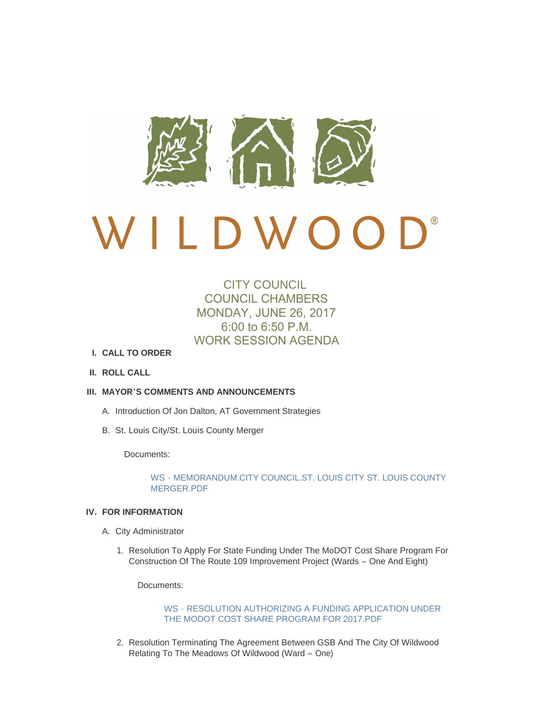

# $\bigcup$ ® LDWOO

# CITY COUNCIL COUNCIL CHAMBERS MONDAY, JUNE 26, 2017 6:00 to 6:50 P.M. WORK SESSION AGENDA

- **CALL TO ORDER I.**
- **ROLL CALL II.**
- **MAYOR'S COMMENTS AND ANNOUNCEMENTS III.**
	- A. Introduction Of Jon Dalton, AT Government Strategies
	- B. St. Louis City/St. Louis County Merger

Documents:

# WS - [MEMORANDUM.CITY COUNCIL.ST. LOUIS CITY ST. LOUIS COUNTY](http://cityofwildwood.com/AgendaCenter/ViewFile/Item/11293?fileID=16110)  MERGER.PDF

# **FOR INFORMATION IV.**

- A. City Administrator
	- 1. Resolution To Apply For State Funding Under The MoDOT Cost Share Program For Construction Of The Route 109 Improvement Project (Wards – One And Eight)

Documents:

WS - [RESOLUTION AUTHORIZING A FUNDING APPLICATION UNDER](http://cityofwildwood.com/AgendaCenter/ViewFile/Item/11296?fileID=16081)  THE MODOT COST SHARE PROGRAM FOR 2017.PDF

2. Resolution Terminating The Agreement Between GSB And The City Of Wildwood Relating To The Meadows Of Wildwood (Ward – One)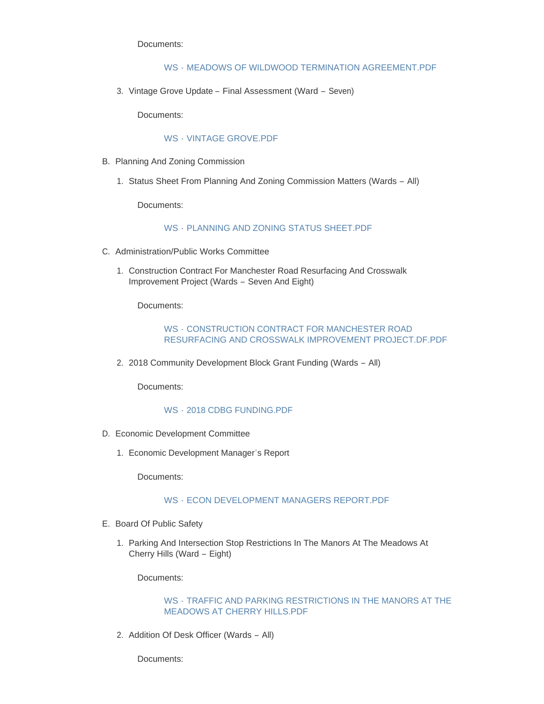Documents:

#### WS - [MEADOWS OF WILDWOOD TERMINATION AGREEMENT.PDF](http://cityofwildwood.com/AgendaCenter/ViewFile/Item/11297?fileID=16109)

3. Vintage Grove Update - Final Assessment (Ward - Seven)

Documents:

#### WS - [VINTAGE GROVE.PDF](http://cityofwildwood.com/AgendaCenter/ViewFile/Item/11298?fileID=16082)

- B. Planning And Zoning Commission
	- 1. Status Sheet From Planning And Zoning Commission Matters (Wards All)

Documents:

#### WS - [PLANNING AND ZONING STATUS SHEET.PDF](http://cityofwildwood.com/AgendaCenter/ViewFile/Item/11300?fileID=16083)

- C. Administration/Public Works Committee
	- 1. Construction Contract For Manchester Road Resurfacing And Crosswalk Improvement Project (Wards – Seven And Eight)

Documents:

# WS - CONSTRUCTION CONTRACT FOR MANCHESTER ROAD [RESURFACING AND CROSSWALK IMPROVEMENT PROJECT.DF.PDF](http://cityofwildwood.com/AgendaCenter/ViewFile/Item/11302?fileID=16084)

2. 2018 Community Development Block Grant Funding (Wards - All)

Documents:

# WS - [2018 CDBG FUNDING.PDF](http://cityofwildwood.com/AgendaCenter/ViewFile/Item/11303?fileID=16101)

- D. Economic Development Committee
	- Economic Development Manager's Report 1.

Documents:

#### WS - [ECON DEVELOPMENT MANAGERS REPORT.PDF](http://cityofwildwood.com/AgendaCenter/ViewFile/Item/11305?fileID=16102)

- E. Board Of Public Safety
	- 1. Parking And Intersection Stop Restrictions In The Manors At The Meadows At Cherry Hills (Ward – Eight)

Documents:

#### WS - [TRAFFIC AND PARKING RESTRICTIONS IN THE MANORS AT THE](http://cityofwildwood.com/AgendaCenter/ViewFile/Item/11307?fileID=16103)  MEADOWS AT CHERRY HILLS.PDF

2. Addition Of Desk Officer (Wards - All)

Documents: